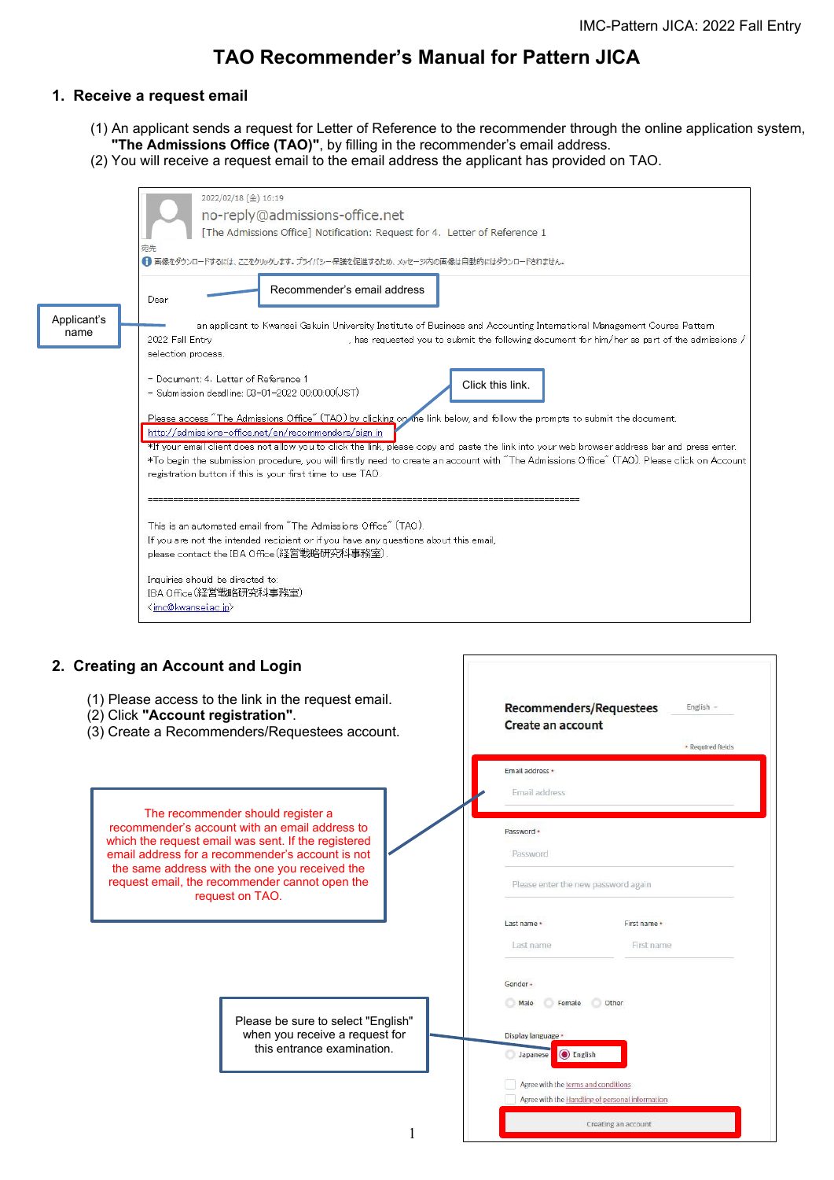# **TAO Recommender's Manual for Pattern JICA**

### **1. Receive a request email**

- (1) An applicant sends a request for Letter of Reference to the recommender through the online application system, **"The Admissions Office (TAO)"**, by filling in the recommender's email address.
- (2) You will receive a request email to the email address the applicant has provided on TAO.

|                     | 2022/02/18 (金) 16:19<br>no-reply@admissions-office.net<br>[The Admissions Office] Notification: Request for 4. Letter of Reference 1<br>宛先<br>● 画像をダウンロードするには、ここをクリックします。プライバシー保護を促進するため、メッセージ内の画像は自動的にはダウンロードされません。                                                                                                                                      |
|---------------------|-----------------------------------------------------------------------------------------------------------------------------------------------------------------------------------------------------------------------------------------------------------------------------------------------------------------------------------------------------------|
|                     | Recommender's email address<br>Dear                                                                                                                                                                                                                                                                                                                       |
| Applicant's<br>name | an applicant to Kwansei Gakuin University Institute of Business and Accounting International Management Course Pattern<br>2022 Fall Entry<br>, has requested you to submit the following document for him/her as part of the admissions /<br>selection process.                                                                                           |
|                     | - Document: 4. Letter of Reference 1<br>Click this link.<br>$-$ Submission deadline: 03-01-2022 00:00:00(JST)                                                                                                                                                                                                                                             |
|                     | Please access "The Admissions Office" (TAO) by clicking on the link below, and follow the prompts to submit the document.<br>http://admissions-office.net/en/recommenders/sign_in                                                                                                                                                                         |
|                     | *If your email client does not allow you to click the link, please copy and paste the link into your web browser address bar and press enter.<br>*To begin the submission procedure, you will firstly need to create an account with "The Admissions Office" (TAO). Please click on Account<br>registration button if this is your first time to use TAO. |
|                     | This is an automated email from "The Admissions Office" (TAO)                                                                                                                                                                                                                                                                                             |
|                     | If you are not the intended recipient or if you have any questions about this email,<br>please contact the IBA Office(経営戦略研究科事務室),                                                                                                                                                                                                                        |
|                     | Inquiries should be directed to:<br>IBA Office(経営戦略研究科事務室)<br><imc@kwansei.ac.jp></imc@kwansei.ac.jp>                                                                                                                                                                                                                                                     |

#### **2. Creating an Account and L**

- (1) Please access to the link in
- $(2)$  Click **"Account registration**
- $(3)$  Create a Recommenders/

The recommender shou recommender's account with a which the request email was se email address for a recommend the same address with the one request email, the recommend request on TA

> Please when<br>this this entrance examination.

> > 1

| ogin                                                                 |                                                                  |
|----------------------------------------------------------------------|------------------------------------------------------------------|
| n the request email.<br>on".<br>Requestees account.                  | Recommenders/Requestees<br>English -<br><b>Create an account</b> |
|                                                                      | * Required fields                                                |
|                                                                      | Email address *                                                  |
| ıld register a                                                       | Email address                                                    |
| in email address to                                                  | Password +                                                       |
| ent. If the registered<br>der's account is not<br>e you received the | Password                                                         |
| er cannot open the<br>O.                                             | Please enter the new password again                              |
|                                                                      | Last name *<br>First name *                                      |
|                                                                      | Last name<br>First name                                          |
|                                                                      | Gender +                                                         |
|                                                                      | Female<br>Other<br>Male                                          |
| be sure to select "English"<br>n you receive a request for           | Display language *                                               |
| s entrance examination.                                              | <b>◎</b> English<br>Japanese                                     |
|                                                                      | Agree with the terms and conditions                              |
|                                                                      | Agree with the Handling of personal information                  |
|                                                                      | Creating an account                                              |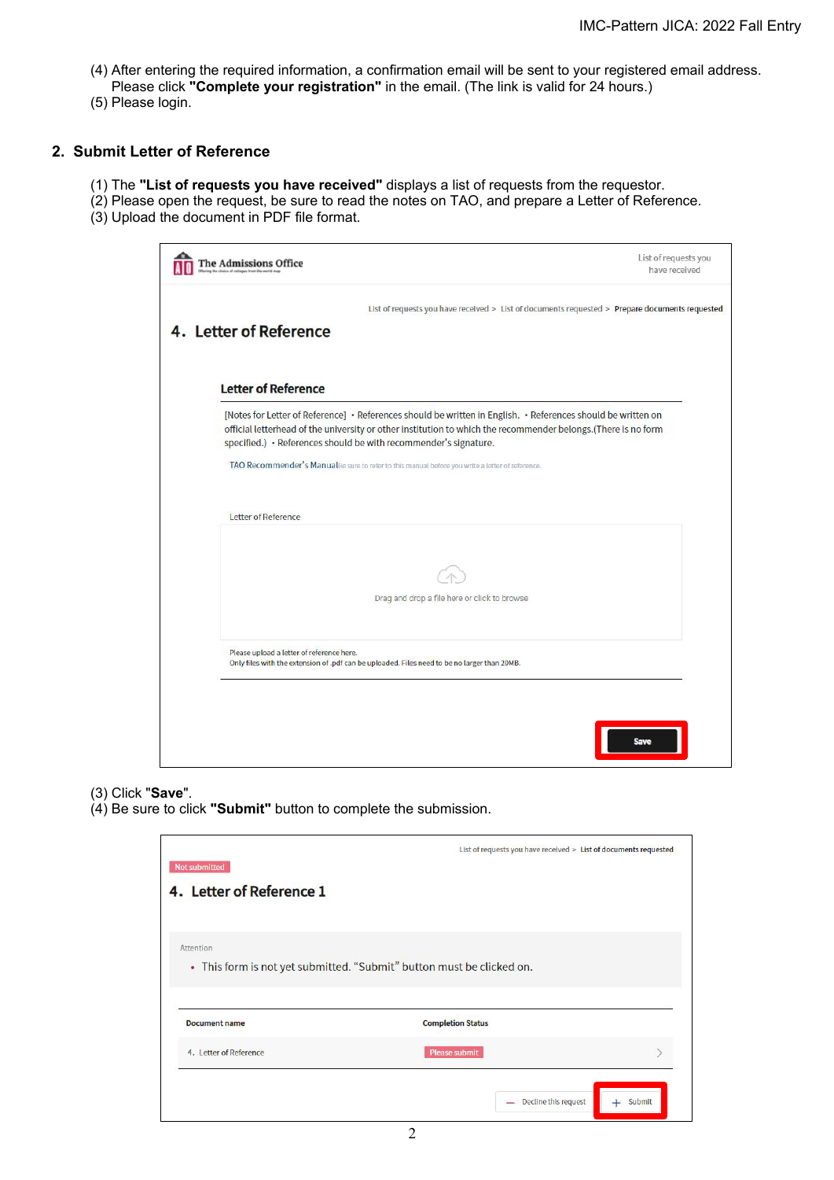- (4) After entering the required information, a confirmation email will be sent to your registered email address.
- Please click **"Complete your registration"** in the email. (The link is valid for 24 hours.) (5) Please login.

## **2. Submit Letter of Reference**

- (1) The **"List of requests you have received"** displays a list of requests from the requestor.
- (2) Please open the request, be sure to read the notes on TAO, and prepare a Letter of Reference.
- (3) Upload the document in PDF file format.

| <b>Letter of Reference</b><br>[Notes for Letter of Reference] • References should be written in English. • References should be written on<br>official letterhead of the university or other institution to which the recommender belongs. (There is no form<br>specified.) · References should be with recommender's signature.<br>TAO Recommender's ManualBe sure to refer to this manual before you write a letter of reference. |
|-------------------------------------------------------------------------------------------------------------------------------------------------------------------------------------------------------------------------------------------------------------------------------------------------------------------------------------------------------------------------------------------------------------------------------------|
|                                                                                                                                                                                                                                                                                                                                                                                                                                     |
|                                                                                                                                                                                                                                                                                                                                                                                                                                     |
|                                                                                                                                                                                                                                                                                                                                                                                                                                     |
|                                                                                                                                                                                                                                                                                                                                                                                                                                     |
| Letter of Reference                                                                                                                                                                                                                                                                                                                                                                                                                 |
|                                                                                                                                                                                                                                                                                                                                                                                                                                     |
| Drag and drop a file here or click to browse                                                                                                                                                                                                                                                                                                                                                                                        |
|                                                                                                                                                                                                                                                                                                                                                                                                                                     |

- (3) Click "**Save**".
- (4) Be sure to click **"Submit"** button to complete the submission.

| Not submitted                                  | List of requests you have received > List of documents requested      |
|------------------------------------------------|-----------------------------------------------------------------------|
| 4. Letter of Reference 1                       |                                                                       |
|                                                |                                                                       |
| Attention                                      | • This form is not yet submitted. "Submit" button must be clicked on. |
|                                                |                                                                       |
|                                                |                                                                       |
|                                                | <b>Completion Status</b>                                              |
| <b>Document name</b><br>4. Letter of Reference | <b>Please submit</b>                                                  |
|                                                |                                                                       |